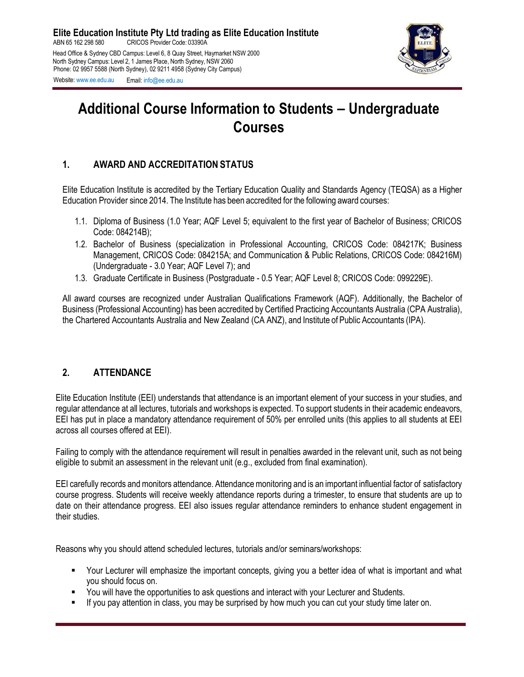

# **Additional Course Information to Students – Undergraduate Courses**

# **1. AWARD AND ACCREDITATION STATUS**

Elite Education Institute is accredited by the Tertiary Education Quality and Standards Agency (TEQSA) as a Higher Education Provider since 2014. The Institute has been accredited for the following award courses:

- 1.1. Diploma of Business (1.0 Year; AQF Level 5; equivalent to the first year of Bachelor of Business; CRICOS Code: 084214B);
- 1.2. Bachelor of Business (specialization in Professional Accounting, CRICOS Code: 084217K; Business Management, CRICOS Code: 084215A; and Communication & Public Relations, CRICOS Code: 084216M) (Undergraduate - 3.0 Year; AQF Level 7); and
- 1.3. Graduate Certificate in Business (Postgraduate 0.5 Year; AQF Level 8; CRICOS Code: 099229E).

All award courses are recognized under Australian Qualifications Framework (AQF). Additionally, the Bachelor of Business (Professional Accounting) has been accredited by Certified Practicing Accountants Australia (CPA Australia), the Chartered Accountants Australia and New Zealand (CA ANZ), and Institute of Public Accountants (IPA).

# **2. ATTENDANCE**

Elite Education Institute (EEI) understands that attendance is an important element of your success in your studies, and regular attendance at all lectures, tutorials and workshops is expected. To support students in their academic endeavors, EEI has put in place a mandatory attendance requirement of 50% per enrolled units (this applies to all students at EEI across all courses offered at EEI).

Failing to comply with the attendance requirement will result in penalties awarded in the relevant unit, such as not being eligible to submit an assessment in the relevant unit (e.g., excluded from final examination).

EEI carefully records and monitors attendance. Attendance monitoring and is an important influential factor of satisfactory course progress. Students will receive weekly attendance reports during a trimester, to ensure that students are up to date on their attendance progress. EEI also issues regular attendance reminders to enhance student engagement in their studies.

Reasons why you should attend scheduled lectures, tutorials and/or seminars/workshops:

- Your Lecturer will emphasize the important concepts, giving you a better idea of what is important and what you should focus on.
- You will have the opportunities to ask questions and interact with your Lecturer and Students.
- If you pay attention in class, you may be surprised by how much you can cut your study time later on.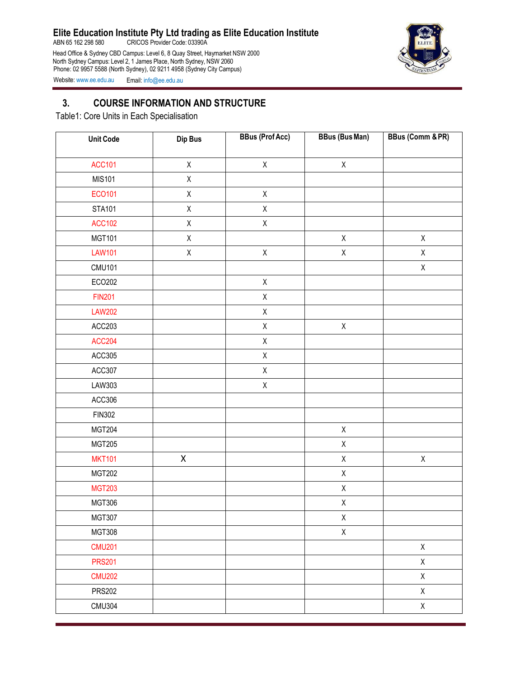ABN 65 162 298 580 CRICOS Provider Code: 03390A

Head Office & Sydney CBD Campus: Level 6, 8 Quay Street, Haymarket NSW 2000 North Sydney Campus: Level 2, 1 James Place, North Sydney, NSW 2060 Phone: 02 9957 5588 (North Sydney), 02 9211 4958 (Sydney City Campus)



Website: [www.ee.edu.au](http://www.ee.edu.au/) Email: [info@ee.edu.au](mailto:info@ee.edu.au)

## **3. COURSE INFORMATION AND STRUCTURE**

Table1: Core Units in Each Specialisation

| <b>Unit Code</b> | Dip Bus     | <b>BBus (Prof Acc)</b> | <b>BBus (Bus Man)</b> | <b>BBus (Comm &amp; PR)</b> |
|------------------|-------------|------------------------|-----------------------|-----------------------------|
| <b>ACC101</b>    | $\sf X$     | $\mathsf X$            | $\mathsf X$           |                             |
| <b>MIS101</b>    | $\mathsf X$ |                        |                       |                             |
| ECO101           | $\mathsf X$ | $\mathsf X$            |                       |                             |
|                  |             |                        |                       |                             |
| <b>STA101</b>    | $\mathsf X$ | $\mathsf X$            |                       |                             |
| <b>ACC102</b>    | $\mathsf X$ | $\mathsf X$            |                       |                             |
| <b>MGT101</b>    | $\mathsf X$ |                        | $\mathsf X$           | $\mathsf X$                 |
| <b>LAW101</b>    | $\mathsf X$ | $\mathsf X$            | $\mathsf X$           | $\mathsf{X}$                |
| <b>CMU101</b>    |             |                        |                       | $\mathsf X$                 |
| ECO202           |             | $\mathsf X$            |                       |                             |
| <b>FIN201</b>    |             | Χ                      |                       |                             |
| <b>LAW202</b>    |             | $\mathsf X$            |                       |                             |
| ACC203           |             | $\mathsf X$            | $\mathsf X$           |                             |
| <b>ACC204</b>    |             | $\mathsf X$            |                       |                             |
| ACC305           |             | $\mathsf X$            |                       |                             |
| ACC307           |             | $\mathsf X$            |                       |                             |
| LAW303           |             | $\mathsf X$            |                       |                             |
| ACC306           |             |                        |                       |                             |
| <b>FIN302</b>    |             |                        |                       |                             |
| <b>MGT204</b>    |             |                        | $\mathsf X$           |                             |
| <b>MGT205</b>    |             |                        | $\mathsf X$           |                             |
| <b>MKT101</b>    | $\mathsf X$ |                        | $\mathsf X$           | $\mathsf X$                 |
| <b>MGT202</b>    |             |                        | $\mathsf X$           |                             |
| <b>MGT203</b>    |             |                        | $\mathsf X$           |                             |
| <b>MGT306</b>    |             |                        | $\mathsf X$           |                             |
| <b>MGT307</b>    |             |                        | $\mathsf X$           |                             |
| <b>MGT308</b>    |             |                        | $\mathsf X$           |                             |
| <b>CMU201</b>    |             |                        |                       | $\mathsf X$                 |
| <b>PRS201</b>    |             |                        |                       | $\mathsf{X}$                |
| <b>CMU202</b>    |             |                        |                       | $\mathsf X$                 |
| <b>PRS202</b>    |             |                        |                       | $\mathsf X$                 |
| <b>CMU304</b>    |             |                        |                       | $\mathsf{X}$                |
|                  |             |                        |                       |                             |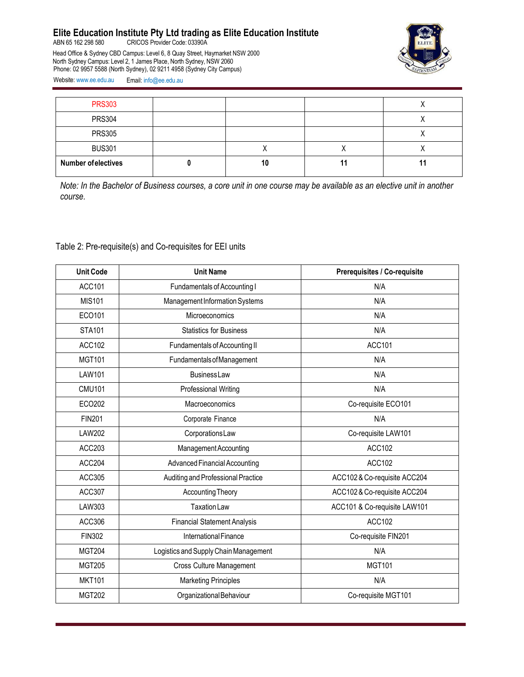ABN 65 162 298 580 CRICOS Provider Code: 03390A

Head Office & Sydney CBD Campus: Level 6, 8 Quay Street, Haymarket NSW 2000 North Sydney Campus: Level 2, 1 James Place, North Sydney, NSW 2060 Phone: 02 9957 5588 (North Sydney), 02 9211 4958 (Sydney City Campus)



Website: [www.ee.edu.au](http://www.ee.edu.au/) Email: [info@ee.edu.au](mailto:info@ee.edu.au)

| <b>PRS303</b>              |    |  |
|----------------------------|----|--|
| <b>PRS304</b>              |    |  |
| <b>PRS305</b>              |    |  |
| <b>BUS301</b>              |    |  |
| <b>Number of electives</b> | 10 |  |

*Note: In the Bachelor of Business courses, a core unit in one course may be available as an elective unit in another course.*

#### Table 2: Pre-requisite(s) and Co-requisites for EEI units

| <b>Unit Code</b> | <b>Unit Name</b>                      | Prerequisites / Co-requisite |  |
|------------------|---------------------------------------|------------------------------|--|
| <b>ACC101</b>    | Fundamentals of Accounting I          | N/A                          |  |
| <b>MIS101</b>    | Management Information Systems        | N/A                          |  |
| ECO101           | Microeconomics                        | N/A                          |  |
| <b>STA101</b>    | <b>Statistics for Business</b>        | N/A                          |  |
| <b>ACC102</b>    | Fundamentals of Accounting II         | ACC101                       |  |
| <b>MGT101</b>    | <b>Fundamentals of Management</b>     | N/A                          |  |
| <b>LAW101</b>    | <b>BusinessLaw</b>                    | N/A                          |  |
| <b>CMU101</b>    | Professional Writing                  | N/A                          |  |
| ECO202           | Macroeconomics                        | Co-requisite ECO101          |  |
| <b>FIN201</b>    | Corporate Finance                     | N/A                          |  |
| <b>LAW202</b>    | Corporations Law                      | Co-requisite LAW101          |  |
| ACC203           | Management Accounting                 | <b>ACC102</b>                |  |
| ACC204           | <b>Advanced Financial Accounting</b>  | ACC102                       |  |
| ACC305           | Auditing and Professional Practice    | ACC102 & Co-requisite ACC204 |  |
| <b>ACC307</b>    | <b>Accounting Theory</b>              | ACC102 & Co-requisite ACC204 |  |
| LAW303           | <b>Taxation Law</b>                   | ACC101 & Co-requisite LAW101 |  |
| ACC306           | <b>Financial Statement Analysis</b>   | <b>ACC102</b>                |  |
| <b>FIN302</b>    | International Finance                 | Co-requisite FIN201          |  |
| <b>MGT204</b>    | Logistics and Supply Chain Management | N/A                          |  |
| <b>MGT205</b>    | <b>Cross Culture Management</b>       | <b>MGT101</b>                |  |
| <b>MKT101</b>    | <b>Marketing Principles</b>           | N/A                          |  |
| <b>MGT202</b>    | Organizational Behaviour              | Co-requisite MGT101          |  |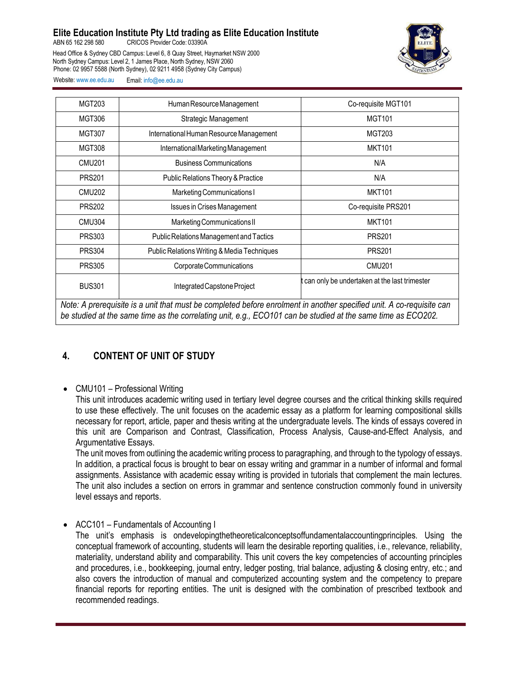ABN 65 162 298 580 CRICOS Provider Code: 03390A

Head Office & Sydney CBD Campus: Level 6, 8 Quay Street, Haymarket NSW 2000 North Sydney Campus: Level 2, 1 James Place, North Sydney, NSW 2060 Phone: 02 9957 5588 (North Sydney), 02 9211 4958 (Sydney City Campus)



Website: [www.ee.edu.au](http://www.ee.edu.au/) Email: [info@ee.edu.au](mailto:info@ee.edu.au)

| MGT203                                                                                                                                                                                                                               | Human Resource Management                   | Co-requisite MGT101                          |  |
|--------------------------------------------------------------------------------------------------------------------------------------------------------------------------------------------------------------------------------------|---------------------------------------------|----------------------------------------------|--|
| <b>MGT306</b>                                                                                                                                                                                                                        | Strategic Management                        | <b>MGT101</b>                                |  |
| <b>MGT307</b>                                                                                                                                                                                                                        | International Human Resource Management     | MGT203                                       |  |
| <b>MGT308</b>                                                                                                                                                                                                                        | International Marketing Management          | <b>MKT101</b>                                |  |
| <b>CMU201</b>                                                                                                                                                                                                                        | <b>Business Communications</b>              | N/A                                          |  |
| <b>PRS201</b>                                                                                                                                                                                                                        | Public Relations Theory & Practice          | N/A                                          |  |
| <b>CMU202</b>                                                                                                                                                                                                                        | Marketing Communications I                  | <b>MKT101</b>                                |  |
| <b>PRS202</b>                                                                                                                                                                                                                        | <b>Issues in Crises Management</b>          | Co-requisite PRS201                          |  |
| <b>CMU304</b>                                                                                                                                                                                                                        | Marketing Communications II                 | <b>MKT101</b>                                |  |
| <b>PRS303</b>                                                                                                                                                                                                                        | Public Relations Management and Tactics     | <b>PRS201</b>                                |  |
| <b>PRS304</b>                                                                                                                                                                                                                        | Public Relations Writing & Media Techniques | <b>PRS201</b>                                |  |
| <b>PRS305</b>                                                                                                                                                                                                                        | Corporate Communications                    | <b>CMU201</b>                                |  |
| <b>BUS301</b>                                                                                                                                                                                                                        | Integrated Capstone Project                 | can only be undertaken at the last trimester |  |
| Note: A prerequisite is a unit that must be completed before enrolment in another specified unit. A co-requisite can<br>be studied at the same time as the correlating unit, e.g., ECO101 can be studied at the same time as ECO202. |                                             |                                              |  |

# **4. CONTENT OF UNIT OF STUDY**

• CMU101 – Professional Writing

This unit introduces academic writing used in tertiary level degree courses and the critical thinking skills required to use these effectively. The unit focuses on the academic essay as a platform for learning compositional skills necessary for report, article, paper and thesis writing at the undergraduate levels. The kinds of essays covered in this unit are Comparison and Contrast, Classification, Process Analysis, Cause-and-Effect Analysis, and Argumentative Essays.

The unit moves from outlining the academic writing process to paragraphing, and through to the typology of essays. In addition, a practical focus is brought to bear on essay writing and grammar in a number of informal and formal assignments. Assistance with academic essay writing is provided in tutorials that complement the main lectures. The unit also includes a section on errors in grammar and sentence construction commonly found in university level essays and reports.

• ACC101 – Fundamentals of Accounting I

The unit's emphasis is ondevelopingthetheoreticalconceptsoffundamentalaccountingprinciples. Using the conceptual framework of accounting, students will learn the desirable reporting qualities, i.e., relevance, reliability, materiality, understand ability and comparability. This unit covers the key competencies of accounting principles and procedures, i.e., bookkeeping, journal entry, ledger posting, trial balance, adjusting & closing entry, etc.; and also covers the introduction of manual and computerized accounting system and the competency to prepare financial reports for reporting entities. The unit is designed with the combination of prescribed textbook and recommended readings.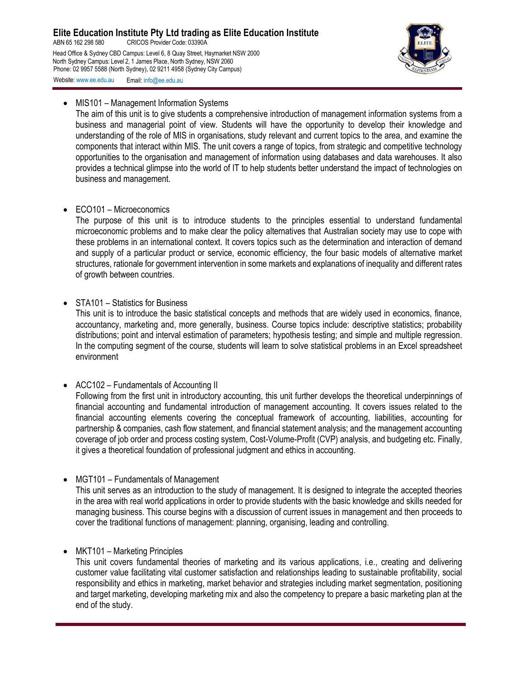ABN 65 162 298 580 CRICOS Provider Code: 03390A Head Office & Sydney CBD Campus: Level 6, 8 Quay Street, Haymarket NSW 2000 North Sydney Campus: Level 2, 1 James Place, North Sydney, NSW 2060 Phone: 02 9957 5588 (North Sydney), 02 9211 4958 (Sydney City Campus) Website: [www.ee.edu.au](http://www.ee.edu.au/) Email: [info@ee.edu.au](mailto:info@ee.edu.au)



#### • MIS101 – Management Information Systems

The aim of this unit is to give students a comprehensive introduction of management information systems from a business and managerial point of view. Students will have the opportunity to develop their knowledge and understanding of the role of MIS in organisations, study relevant and current topics to the area, and examine the components that interact within MIS. The unit covers a range of topics, from strategic and competitive technology opportunities to the organisation and management of information using databases and data warehouses. It also provides a technical glimpse into the world of IT to help students better understand the impact of technologies on business and management.

• ECO101 – Microeconomics

The purpose of this unit is to introduce students to the principles essential to understand fundamental microeconomic problems and to make clear the policy alternatives that Australian society may use to cope with these problems in an international context. It covers topics such as the determination and interaction of demand and supply of a particular product or service, economic efficiency, the four basic models of alternative market structures, rationale for government intervention in some markets and explanations of inequality and different rates of growth between countries.

• STA101 – Statistics for Business

This unit is to introduce the basic statistical concepts and methods that are widely used in economics, finance, accountancy, marketing and, more generally, business. Course topics include: descriptive statistics; probability distributions; point and interval estimation of parameters; hypothesis testing; and simple and multiple regression. In the computing segment of the course, students will learn to solve statistical problems in an Excel spreadsheet environment

• ACC102 – Fundamentals of Accounting II

Following from the first unit in introductory accounting, this unit further develops the theoretical underpinnings of financial accounting and fundamental introduction of management accounting. It covers issues related to the financial accounting elements covering the conceptual framework of accounting, liabilities, accounting for partnership & companies, cash flow statement, and financial statement analysis; and the management accounting coverage of job order and process costing system, Cost-Volume-Profit (CVP) analysis, and budgeting etc. Finally, it gives a theoretical foundation of professional judgment and ethics in accounting.

• MGT101 – Fundamentals of Management

This unit serves as an introduction to the study of management. It is designed to integrate the accepted theories in the area with real world applications in order to provide students with the basic knowledge and skills needed for managing business. This course begins with a discussion of current issues in management and then proceeds to cover the traditional functions of management: planning, organising, leading and controlling.

• MKT101 – Marketing Principles

This unit covers fundamental theories of marketing and its various applications, i.e., creating and delivering customer value facilitating vital customer satisfaction and relationships leading to sustainable profitability, social responsibility and ethics in marketing, market behavior and strategies including market segmentation, positioning and target marketing, developing marketing mix and also the competency to prepare a basic marketing plan at the end of the study.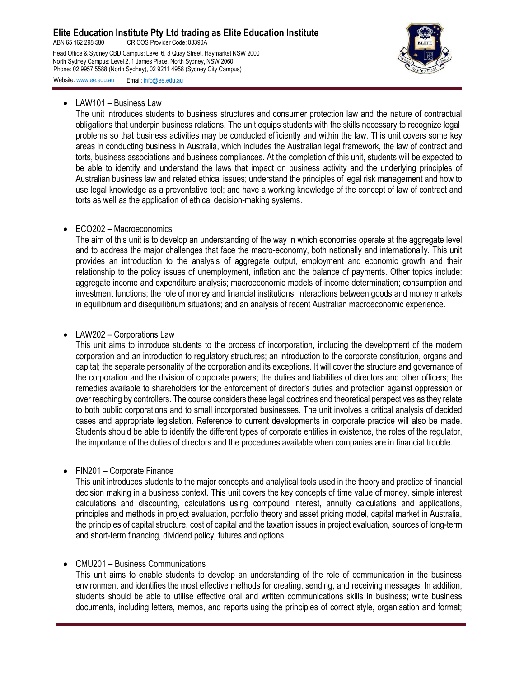ABN 65 162 298 580 CRICOS Provider Code: 03390A

Head Office & Sydney CBD Campus: Level 6, 8 Quay Street, Haymarket NSW 2000 North Sydney Campus: Level 2, 1 James Place, North Sydney, NSW 2060 Phone: 02 9957 5588 (North Sydney), 02 9211 4958 (Sydney City Campus)



Website: [www.ee.edu.au](http://www.ee.edu.au/) Email: [info@ee.edu.au](mailto:info@ee.edu.au)

• LAW101 – Business Law

The unit introduces students to business structures and consumer protection law and the nature of contractual obligations that underpin business relations. The unit equips students with the skills necessary to recognize legal problems so that business activities may be conducted efficiently and within the law. This unit covers some key areas in conducting business in Australia, which includes the Australian legal framework, the law of contract and torts, business associations and business compliances. At the completion of this unit, students will be expected to be able to identify and understand the laws that impact on business activity and the underlying principles of Australian business law and related ethical issues; understand the principles of legal risk management and how to use legal knowledge as a preventative tool; and have a working knowledge of the concept of law of contract and torts as well as the application of ethical decision-making systems.

#### • ECO202 – Macroeconomics

The aim of this unit is to develop an understanding of the way in which economies operate at the aggregate level and to address the major challenges that face the macro-economy, both nationally and internationally. This unit provides an introduction to the analysis of aggregate output, employment and economic growth and their relationship to the policy issues of unemployment, inflation and the balance of payments. Other topics include: aggregate income and expenditure analysis; macroeconomic models of income determination; consumption and investment functions; the role of money and financial institutions; interactions between goods and money markets in equilibrium and disequilibrium situations; and an analysis of recent Australian macroeconomic experience.

#### • LAW202 – Corporations Law

This unit aims to introduce students to the process of incorporation, including the development of the modern corporation and an introduction to regulatory structures; an introduction to the corporate constitution, organs and capital; the separate personality of the corporation and its exceptions. It will cover the structure and governance of the corporation and the division of corporate powers; the duties and liabilities of directors and other officers; the remedies available to shareholders for the enforcement of director's duties and protection against oppression or over reaching by controllers. The course considers these legal doctrines and theoretical perspectives as they relate to both public corporations and to small incorporated businesses. The unit involves a critical analysis of decided cases and appropriate legislation. Reference to current developments in corporate practice will also be made. Students should be able to identify the different types of corporate entities in existence, the roles of the regulator, the importance of the duties of directors and the procedures available when companies are in financial trouble.

#### • FIN201 – Corporate Finance

This unit introduces students to the major concepts and analytical tools used in the theory and practice of financial decision making in a business context. This unit covers the key concepts of time value of money, simple interest calculations and discounting, calculations using compound interest, annuity calculations and applications, principles and methods in project evaluation, portfolio theory and asset pricing model, capital market in Australia, the principles of capital structure, cost of capital and the taxation issues in project evaluation, sources of long-term and short-term financing, dividend policy, futures and options.

## • CMU201 – Business Communications

This unit aims to enable students to develop an understanding of the role of communication in the business environment and identifies the most effective methods for creating, sending, and receiving messages. In addition, students should be able to utilise effective oral and written communications skills in business; write business documents, including letters, memos, and reports using the principles of correct style, organisation and format;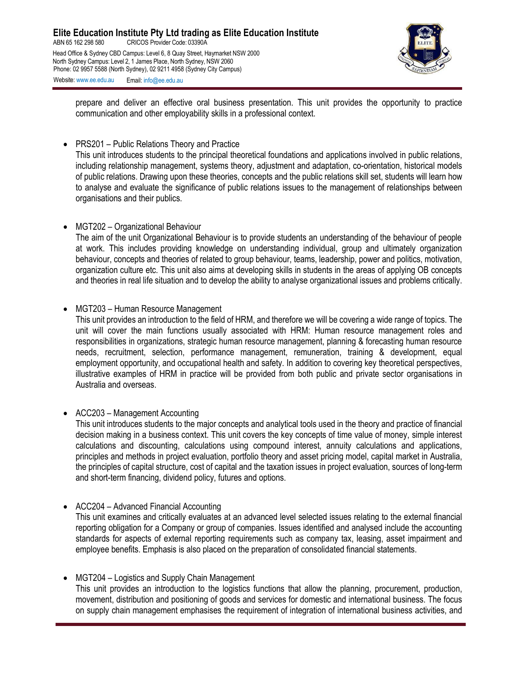

prepare and deliver an effective oral business presentation. This unit provides the opportunity to practice communication and other employability skills in a professional context.

• PRS201 – Public Relations Theory and Practice

This unit introduces students to the principal theoretical foundations and applications involved in public relations, including relationship management, systems theory, adjustment and adaptation, co-orientation, historical models of public relations. Drawing upon these theories, concepts and the public relations skill set, students will learn how to analyse and evaluate the significance of public relations issues to the management of relationships between organisations and their publics.

• MGT202 – Organizational Behaviour

The aim of the unit Organizational Behaviour is to provide students an understanding of the behaviour of people at work. This includes providing knowledge on understanding individual, group and ultimately organization behaviour, concepts and theories of related to group behaviour, teams, leadership, power and politics, motivation, organization culture etc. This unit also aims at developing skills in students in the areas of applying OB concepts and theories in real life situation and to develop the ability to analyse organizational issues and problems critically.

• MGT203 – Human Resource Management

This unit provides an introduction to the field of HRM, and therefore we will be covering a wide range of topics. The unit will cover the main functions usually associated with HRM: Human resource management roles and responsibilities in organizations, strategic human resource management, planning & forecasting human resource needs, recruitment, selection, performance management, remuneration, training & development, equal employment opportunity, and occupational health and safety. In addition to covering key theoretical perspectives, illustrative examples of HRM in practice will be provided from both public and private sector organisations in Australia and overseas.

• ACC203 – Management Accounting

This unit introduces students to the major concepts and analytical tools used in the theory and practice of financial decision making in a business context. This unit covers the key concepts of time value of money, simple interest calculations and discounting, calculations using compound interest, annuity calculations and applications, principles and methods in project evaluation, portfolio theory and asset pricing model, capital market in Australia, the principles of capital structure, cost of capital and the taxation issues in project evaluation, sources of long-term and short-term financing, dividend policy, futures and options.

• ACC204 – Advanced Financial Accounting

This unit examines and critically evaluates at an advanced level selected issues relating to the external financial reporting obligation for a Company or group of companies. Issues identified and analysed include the accounting standards for aspects of external reporting requirements such as company tax, leasing, asset impairment and employee benefits. Emphasis is also placed on the preparation of consolidated financial statements.

• MGT204 – Logistics and Supply Chain Management

This unit provides an introduction to the logistics functions that allow the planning, procurement, production, movement, distribution and positioning of goods and services for domestic and international business. The focus on supply chain management emphasises the requirement of integration of international business activities, and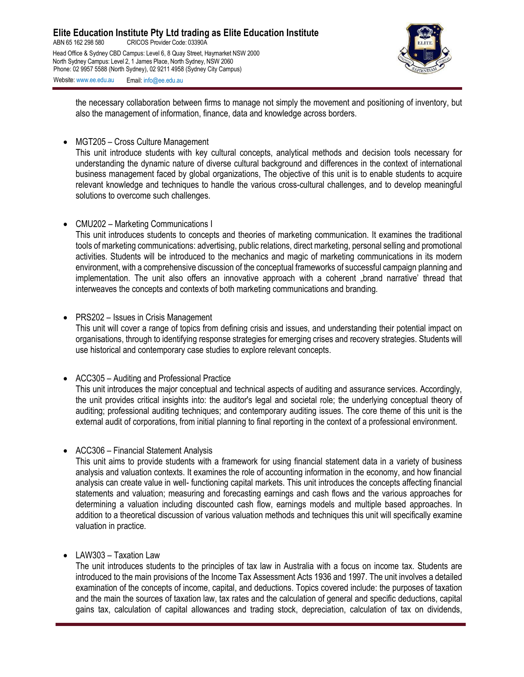

the necessary collaboration between firms to manage not simply the movement and positioning of inventory, but also the management of information, finance, data and knowledge across borders.

• MGT205 – Cross Culture Management

This unit introduce students with key cultural concepts, analytical methods and decision tools necessary for understanding the dynamic nature of diverse cultural background and differences in the context of international business management faced by global organizations, The objective of this unit is to enable students to acquire relevant knowledge and techniques to handle the various cross-cultural challenges, and to develop meaningful solutions to overcome such challenges.

• CMU202 – Marketing Communications I

This unit introduces students to concepts and theories of marketing communication. It examines the traditional tools of marketing communications: advertising, public relations, direct marketing, personal selling and promotional activities. Students will be introduced to the mechanics and magic of marketing communications in its modern environment, with a comprehensive discussion of the conceptual frameworks of successful campaign planning and implementation. The unit also offers an innovative approach with a coherent "brand narrative' thread that interweaves the concepts and contexts of both marketing communications and branding.

• PRS202 – Issues in Crisis Management

This unit will cover a range of topics from defining crisis and issues, and understanding their potential impact on organisations, through to identifying response strategies for emerging crises and recovery strategies. Students will use historical and contemporary case studies to explore relevant concepts.

• ACC305 – Auditing and Professional Practice

This unit introduces the major conceptual and technical aspects of auditing and assurance services. Accordingly, the unit provides critical insights into: the auditor's legal and societal role; the underlying conceptual theory of auditing; professional auditing techniques; and contemporary auditing issues. The core theme of this unit is the external audit of corporations, from initial planning to final reporting in the context of a professional environment.

• ACC306 – Financial Statement Analysis

This unit aims to provide students with a framework for using financial statement data in a variety of business analysis and valuation contexts. It examines the role of accounting information in the economy, and how financial analysis can create value in well- functioning capital markets. This unit introduces the concepts affecting financial statements and valuation; measuring and forecasting earnings and cash flows and the various approaches for determining a valuation including discounted cash flow, earnings models and multiple based approaches. In addition to a theoretical discussion of various valuation methods and techniques this unit will specifically examine valuation in practice.

• LAW303 – Taxation Law

The unit introduces students to the principles of tax law in Australia with a focus on income tax. Students are introduced to the main provisions of the Income Tax Assessment Acts 1936 and 1997. The unit involves a detailed examination of the concepts of income, capital, and deductions. Topics covered include: the purposes of taxation and the main the sources of taxation law, tax rates and the calculation of general and specific deductions, capital gains tax, calculation of capital allowances and trading stock, depreciation, calculation of tax on dividends,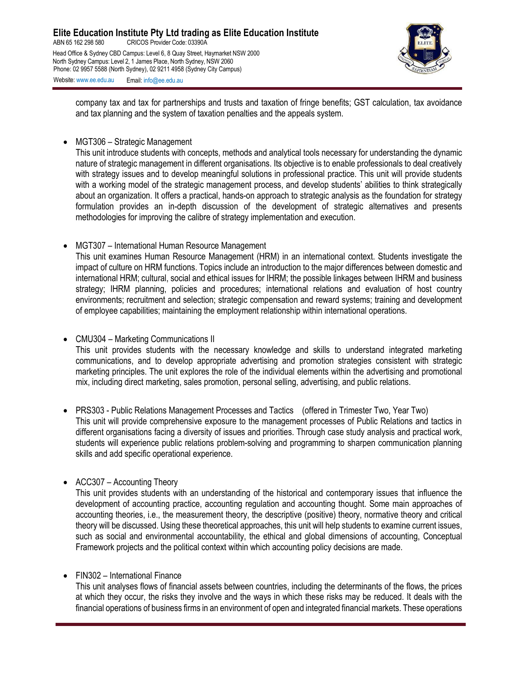

company tax and tax for partnerships and trusts and taxation of fringe benefits; GST calculation, tax avoidance and tax planning and the system of taxation penalties and the appeals system.

• MGT306 – Strategic Management

This unit introduce students with concepts, methods and analytical tools necessary for understanding the dynamic nature of strategic management in different organisations. Its objective is to enable professionals to deal creatively with strategy issues and to develop meaningful solutions in professional practice. This unit will provide students with a working model of the strategic management process, and develop students' abilities to think strategically about an organization. It offers a practical, hands-on approach to strategic analysis as the foundation for strategy formulation provides an in-depth discussion of the development of strategic alternatives and presents methodologies for improving the calibre of strategy implementation and execution.

• MGT307 – International Human Resource Management

This unit examines Human Resource Management (HRM) in an international context. Students investigate the impact of culture on HRM functions. Topics include an introduction to the major differences between domestic and international HRM; cultural, social and ethical issues for IHRM; the possible linkages between IHRM and business strategy; IHRM planning, policies and procedures; international relations and evaluation of host country environments; recruitment and selection; strategic compensation and reward systems; training and development of employee capabilities; maintaining the employment relationship within international operations.

• CMU304 – Marketing Communications II

This unit provides students with the necessary knowledge and skills to understand integrated marketing communications, and to develop appropriate advertising and promotion strategies consistent with strategic marketing principles. The unit explores the role of the individual elements within the advertising and promotional mix, including direct marketing, sales promotion, personal selling, advertising, and public relations.

• PRS303 - Public Relations Management Processes and Tactics (offered in Trimester Two, Year Two) This unit will provide comprehensive exposure to the management processes of Public Relations and tactics in different organisations facing a diversity of issues and priorities. Through case study analysis and practical work, students will experience public relations problem-solving and programming to sharpen communication planning skills and add specific operational experience.

• ACC307 – Accounting Theory

This unit provides students with an understanding of the historical and contemporary issues that influence the development of accounting practice, accounting regulation and accounting thought. Some main approaches of accounting theories, i.e., the measurement theory, the descriptive (positive) theory, normative theory and critical theory will be discussed. Using these theoretical approaches, this unit will help students to examine current issues, such as social and environmental accountability, the ethical and global dimensions of accounting, Conceptual Framework projects and the political context within which accounting policy decisions are made.

## • FIN302 – International Finance

This unit analyses flows of financial assets between countries, including the determinants of the flows, the prices at which they occur, the risks they involve and the ways in which these risks may be reduced. It deals with the financial operations of business firms in an environment of open and integrated financial markets. These operations